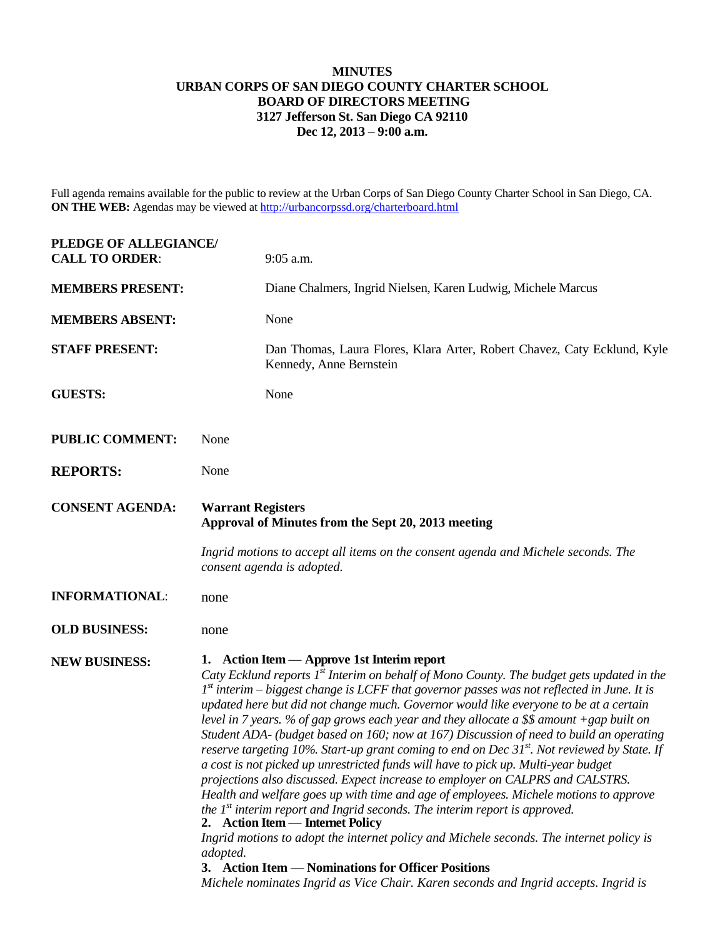## **MINUTES URBAN CORPS OF SAN DIEGO COUNTY CHARTER SCHOOL BOARD OF DIRECTORS MEETING 3127 Jefferson St. San Diego CA 92110 Dec 12, 2013 – 9:00 a.m.**

Full agenda remains available for the public to review at the Urban Corps of San Diego County Charter School in San Diego, CA. **ON THE WEB:** Agendas may be viewed at<http://urbancorpssd.org/charterboard.html>

| PLEDGE OF ALLEGIANCE/<br><b>CALL TO ORDER:</b> | 9:05 a.m.                                                                                                                                                                                                                                                                                                                                                                                                                                                                                                                                                                                                                                                                                                                                                                                                                                                                                                                                                                                                                                                                                                                                                                                                                                                               |
|------------------------------------------------|-------------------------------------------------------------------------------------------------------------------------------------------------------------------------------------------------------------------------------------------------------------------------------------------------------------------------------------------------------------------------------------------------------------------------------------------------------------------------------------------------------------------------------------------------------------------------------------------------------------------------------------------------------------------------------------------------------------------------------------------------------------------------------------------------------------------------------------------------------------------------------------------------------------------------------------------------------------------------------------------------------------------------------------------------------------------------------------------------------------------------------------------------------------------------------------------------------------------------------------------------------------------------|
| <b>MEMBERS PRESENT:</b>                        | Diane Chalmers, Ingrid Nielsen, Karen Ludwig, Michele Marcus                                                                                                                                                                                                                                                                                                                                                                                                                                                                                                                                                                                                                                                                                                                                                                                                                                                                                                                                                                                                                                                                                                                                                                                                            |
| <b>MEMBERS ABSENT:</b>                         | None                                                                                                                                                                                                                                                                                                                                                                                                                                                                                                                                                                                                                                                                                                                                                                                                                                                                                                                                                                                                                                                                                                                                                                                                                                                                    |
| <b>STAFF PRESENT:</b>                          | Dan Thomas, Laura Flores, Klara Arter, Robert Chavez, Caty Ecklund, Kyle<br>Kennedy, Anne Bernstein                                                                                                                                                                                                                                                                                                                                                                                                                                                                                                                                                                                                                                                                                                                                                                                                                                                                                                                                                                                                                                                                                                                                                                     |
| <b>GUESTS:</b>                                 | None                                                                                                                                                                                                                                                                                                                                                                                                                                                                                                                                                                                                                                                                                                                                                                                                                                                                                                                                                                                                                                                                                                                                                                                                                                                                    |
| <b>PUBLIC COMMENT:</b>                         | None                                                                                                                                                                                                                                                                                                                                                                                                                                                                                                                                                                                                                                                                                                                                                                                                                                                                                                                                                                                                                                                                                                                                                                                                                                                                    |
| <b>REPORTS:</b>                                | None                                                                                                                                                                                                                                                                                                                                                                                                                                                                                                                                                                                                                                                                                                                                                                                                                                                                                                                                                                                                                                                                                                                                                                                                                                                                    |
| <b>CONSENT AGENDA:</b>                         | <b>Warrant Registers</b><br>Approval of Minutes from the Sept 20, 2013 meeting                                                                                                                                                                                                                                                                                                                                                                                                                                                                                                                                                                                                                                                                                                                                                                                                                                                                                                                                                                                                                                                                                                                                                                                          |
|                                                | Ingrid motions to accept all items on the consent agenda and Michele seconds. The<br>consent agenda is adopted.                                                                                                                                                                                                                                                                                                                                                                                                                                                                                                                                                                                                                                                                                                                                                                                                                                                                                                                                                                                                                                                                                                                                                         |
| <b>INFORMATIONAL:</b>                          | none                                                                                                                                                                                                                                                                                                                                                                                                                                                                                                                                                                                                                                                                                                                                                                                                                                                                                                                                                                                                                                                                                                                                                                                                                                                                    |
| <b>OLD BUSINESS:</b>                           | none                                                                                                                                                                                                                                                                                                                                                                                                                                                                                                                                                                                                                                                                                                                                                                                                                                                                                                                                                                                                                                                                                                                                                                                                                                                                    |
| <b>NEW BUSINESS:</b>                           | 1. Action Item — Approve 1st Interim report<br>Caty Ecklund reports $Ist$ Interim on behalf of Mono County. The budget gets updated in the<br>$1st$ interim – biggest change is LCFF that governor passes was not reflected in June. It is<br>updated here but did not change much. Governor would like everyone to be at a certain<br>level in 7 years. % of gap grows each year and they allocate a $$$$ amount +gap built on<br>Student ADA- (budget based on 160; now at 167) Discussion of need to build an operating<br>reserve targeting 10%. Start-up grant coming to end on Dec $31^{st}$ . Not reviewed by State. If<br>a cost is not picked up unrestricted funds will have to pick up. Multi-year budget<br>projections also discussed. Expect increase to employer on CALPRS and CALSTRS.<br>Health and welfare goes up with time and age of employees. Michele motions to approve<br>the $Ist$ interim report and Ingrid seconds. The interim report is approved.<br>2. Action Item — Internet Policy<br>Ingrid motions to adopt the internet policy and Michele seconds. The internet policy is<br>adopted.<br>3. Action Item — Nominations for Officer Positions<br>Michele nominates Ingrid as Vice Chair. Karen seconds and Ingrid accepts. Ingrid is |